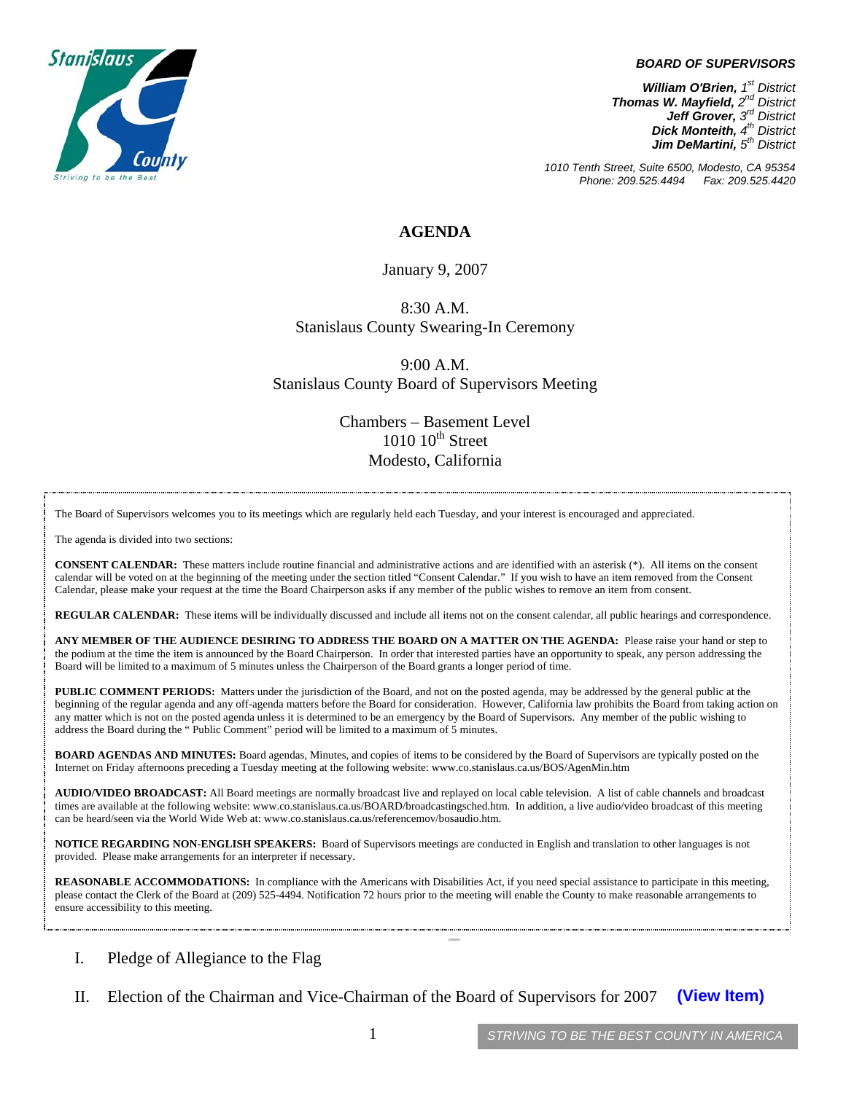## *BOARD OF SUPERVISORS*



*1010 Tenth Street, Suite 6500, Modesto, CA 95354 Phone: 209.525.4494 Fax: 209.525.4420*

## **AGENDA**

January 9, 2007

8:30 A.M. Stanislaus County Swearing-In Ceremony

9:00 A.M. Stanislaus County Board of Supervisors Meeting

> Chambers – Basement Level  $1010$   $10^{th}$  Street Modesto, California

The Board of Supervisors welcomes you to its meetings which are regularly held each Tuesday, and your interest is encouraged and appreciated.

The agenda is divided into two sections:

**CONSENT CALENDAR:** These matters include routine financial and administrative actions and are identified with an asterisk (\*). All items on the consent calendar will be voted on at the beginning of the meeting under the section titled "Consent Calendar." If you wish to have an item removed from the Consent Calendar, please make your request at the time the Board Chairperson asks if any member of the public wishes to remove an item from consent.

**REGULAR CALENDAR:** These items will be individually discussed and include all items not on the consent calendar, all public hearings and correspondence.

**ANY MEMBER OF THE AUDIENCE DESIRING TO ADDRESS THE BOARD ON A MATTER ON THE AGENDA:** Please raise your hand or step to the podium at the time the item is announced by the Board Chairperson. In order that interested parties have an opportunity to speak, any person addressing the Board will be limited to a maximum of 5 minutes unless the Chairperson of the Board grants a longer period of time.

**PUBLIC COMMENT PERIODS:** Matters under the jurisdiction of the Board, and not on the posted agenda, may be addressed by the general public at the beginning of the regular agenda and any off-agenda matters before the Board for consideration. However, California law prohibits the Board from taking action on any matter which is not on the posted agenda unless it is determined to be an emergency by the Board of Supervisors. Any member of the public wishing to address the Board during the " Public Comment" period will be limited to a maximum of 5 minutes.

**BOARD AGENDAS AND MINUTES:** Board agendas, Minutes, and copies of items to be considered by the Board of Supervisors are typically posted on the Internet on Friday afternoons preceding a Tuesday meeting at the following website: [www.co.stanislaus.ca.us/BOS/AgenMin.htm](http://www.co.stanislaus.ca.us/BOS/AgenMin.htm) 

**AUDIO/VIDEO BROADCAST:** All Board meetings are normally broadcast live and replayed on local cable television. A list of cable channels and broadcast times are available at the following website: [www.co.stanislaus.ca.us/BOARD/broadcastingsched.htm](http://www.co.stanislaus.ca.us/BOARD/broadcastingsched.htm). In addition, a live audio/video broadcast of this meeting can be heard/seen via the World Wide Web at: [www.co.stanislaus.ca.us/referencemov/bosaudio.htm.](http://www.co.stanislaus.ca.us/referencemov/bosaudio.htm)

**NOTICE REGARDING NON-ENGLISH SPEAKERS:** Board of Supervisors meetings are conducted in English and translation to other languages is not provided. Please make arrangements for an interpreter if necessary.

REASONABLE ACCOMMODATIONS: In compliance with the Americans with Disabilities Act, if you need special assistance to participate in this meeting, please contact the Clerk of the Board at (209) 525-4494. Notification 72 hours prior to the meeting will enable the County to make reasonable arrangements to ensure accessibility to this meeting.

- I. Pledge of Allegiance to the Flag
- II. Election of the Chairman and Vice-Chairman of the Board of Supervisors for 2007 **(View Item)**

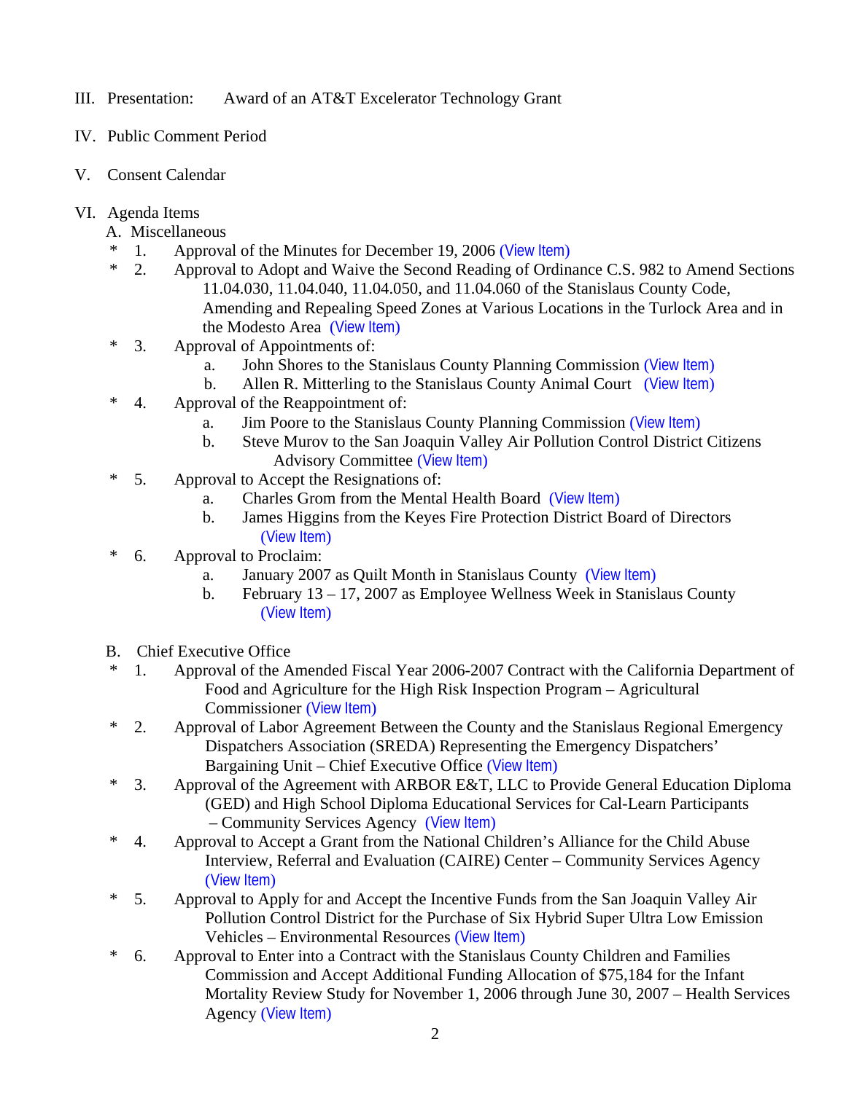- III. Presentation: Award of an AT&T Excelerator Technology Grant
- IV. Public Comment Period
- V. Consent Calendar
- VI. Agenda Items
	- A. Miscellaneous
	- 1. Approval of the Minutes for December 19, 2006 ([View Item](http://www.co.stanislaus.ca.us/BOS/MINUTES/2006/min12-19-06.pdf))
	- \* 2. Approval to Adopt and Waive the Second Reading of Ordinance C.S. 982 to Amend Sections 11.04.030, 11.04.040, 11.04.050, and 11.04.060 of the Stanislaus County Code, Amending and Repealing Speed Zones at Various Locations in the Turlock Area and in the Modesto Area ([View Item](http://www.co.stanislaus.ca.us/BOS/Agenda/2007/20070109/A02.pdf))
	- \* 3. Approval of Appointments of:
		- a. John Shores to the Stanislaus County Planning Commission ([View Item](http://www.co.stanislaus.ca.us/bos/agenda/2007/20070109/A03a.pdf))
		- b. Allen R. Mitterling to the Stanislaus County Animal Court ([View Item](http://www.co.stanislaus.ca.us/bos/agenda/2007/20070109/A03b.pdf))
	- \* 4. Approval of the Reappointment of:
		- a. Jim Poore to the Stanislaus County Planning Commission ([View Item](http://www.co.stanislaus.ca.us/BOS/Agenda/2007/20070109/A04a.pdf))
		- b. Steve Murov to the San Joaquin Valley Air Pollution Control District Citizens Advisory Committee ([View Item](http://www.co.stanislaus.ca.us/BOS/Agenda/2007/20070109/A04b.pdf))
	- \* 5. Approval to Accept the Resignations of:
		- a. Charles Grom from the Mental Health Board ([View Item](http://www.co.stanislaus.ca.us/BOS/Agenda/2007/20070109/A05a.pdf))
		- b. James Higgins from the Keyes Fire Protection District Board of Directors ([View Item](http://www.co.stanislaus.ca.us/BOS/Agenda/2007/20070109/A05b.pdf))
	- \* 6. Approval to Proclaim:
		- a. January 2007 as Quilt Month in Stanislaus County ([View Item](http://www.co.stanislaus.ca.us/BOS/Agenda/2007/20070109/A06a.pdf))
		- b. February 13 17, 2007 as Employee Wellness Week in Stanislaus County ([View Item](http://www.co.stanislaus.ca.us/BOS/Agenda/2007/20070109/A06b.pdf))
	- B. Chief Executive Office
	- \* 1. Approval of the Amended Fiscal Year 2006-2007 Contract with the California Department of Food and Agriculture for the High Risk Inspection Program – Agricultural Commissioner ([View Item](http://www.co.stanislaus.ca.us/BOS/Agenda/2007/20070109/B01.pdf))
	- \* 2. Approval of Labor Agreement Between the County and the Stanislaus Regional Emergency Dispatchers Association (SREDA) Representing the Emergency Dispatchers' Bargaining Unit – Chief Executive Office ([View Item](http://www.co.stanislaus.ca.us/BOS/Agenda/2007/20070109/B02.pdf))
	- \* 3. Approval of the Agreement with ARBOR E&T, LLC to Provide General Education Diploma (GED) and High School Diploma Educational Services for Cal-Learn Participants – Community Services Agency ([View Item](http://www.co.stanislaus.ca.us/BOS/Agenda/2007/20070109/B03.pdf))
	- \* 4. Approval to Accept a Grant from the National Children's Alliance for the Child Abuse Interview, Referral and Evaluation (CAIRE) Center – Community Services Agency ([View Item](http://www.co.stanislaus.ca.us/BOS/Agenda/2007/20070109/B04.pdf))
	- \* 5. Approval to Apply for and Accept the Incentive Funds from the San Joaquin Valley Air Pollution Control District for the Purchase of Six Hybrid Super Ultra Low Emission Vehicles – Environmental Resources ([View Item](http://www.co.stanislaus.ca.us/BOS/Agenda/2007/20070109/B05.pdf))
	- \* 6. Approval to Enter into a Contract with the Stanislaus County Children and Families Commission and Accept Additional Funding Allocation of \$75,184 for the Infant Mortality Review Study for November 1, 2006 through June 30, 2007 – Health Services Agency ([View Item](http://www.co.stanislaus.ca.us/BOS/Agenda/2007/20070109/B06.pdf))